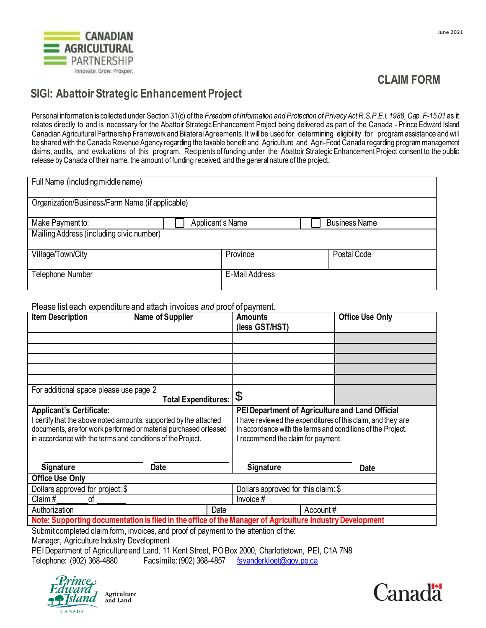

## **CLAIM FORM**

## **SIGI: Abattoir Strategic Enhancement Project**

Personal information is collected under Section 31(c) of the Freedom of Information and Protection of Privacy Act R.S.P.E.I. 1988, Cap. F-15.01 as it relates directly to and is necessary for the Abattoir Strategic Enhancement Project being delivered as part of the Canada - Prince Edward Island Canadian Agricultural Partnership Framework and Bilateral Agreements. It will be used for determining eligibility for program assistance and will be shared with the Canada Revenue Agency regarding the taxable benefit and Agriculture and Agri-Food Canada regarding program management claims, audits, and evaluations of this program. Recipients of funding under the Abattoir Strategic Enhancement Project consent to the public release byCanada of their name, the amount of funding received, and the general nature of the project.

| Full Name (including middle name)               |                  |                       |  |                      |  |  |  |
|-------------------------------------------------|------------------|-----------------------|--|----------------------|--|--|--|
| Organization/Business/Farm Name (if applicable) |                  |                       |  |                      |  |  |  |
| Make Payment to:                                | Applicant's Name |                       |  | <b>Business Name</b> |  |  |  |
| Mailing Address (including civic number)        |                  |                       |  |                      |  |  |  |
| Village/Town/City                               |                  | Province              |  | Postal Code          |  |  |  |
| Telephone Number                                |                  | <b>E-Mail Address</b> |  |                      |  |  |  |

Please list each expenditure and attach invoices *and* proof ofpayment.

| <b>Item Description</b>                                                                                                                                                                                                                | Name of Supplier | Amounts<br>(less GST/HST)                                                                                                                                                                                            | <b>Office Use Only</b> |  |  |  |
|----------------------------------------------------------------------------------------------------------------------------------------------------------------------------------------------------------------------------------------|------------------|----------------------------------------------------------------------------------------------------------------------------------------------------------------------------------------------------------------------|------------------------|--|--|--|
|                                                                                                                                                                                                                                        |                  |                                                                                                                                                                                                                      |                        |  |  |  |
|                                                                                                                                                                                                                                        |                  |                                                                                                                                                                                                                      |                        |  |  |  |
|                                                                                                                                                                                                                                        |                  |                                                                                                                                                                                                                      |                        |  |  |  |
|                                                                                                                                                                                                                                        |                  |                                                                                                                                                                                                                      |                        |  |  |  |
|                                                                                                                                                                                                                                        |                  |                                                                                                                                                                                                                      |                        |  |  |  |
| For additional space please use page 2<br><b>Total Expenditures:</b>                                                                                                                                                                   |                  | \$                                                                                                                                                                                                                   |                        |  |  |  |
| <b>Applicant's Certificate:</b><br>certify that the above noted amounts, supported by the attached<br>documents, are for work performed or material purchased or leased<br>in accordance with the terms and conditions of the Project. |                  | PEI Department of Agriculture and Land Official<br>I have reviewed the expenditures of this claim, and they are<br>In accordance with the terms and conditions of the Project.<br>I recommend the claim for payment. |                        |  |  |  |
| <b>Signature</b>                                                                                                                                                                                                                       | <b>Date</b>      | <b>Signature</b>                                                                                                                                                                                                     | <b>Date</b>            |  |  |  |
| <b>Office Use Only</b>                                                                                                                                                                                                                 |                  |                                                                                                                                                                                                                      |                        |  |  |  |
| Dollars approved for project: \$                                                                                                                                                                                                       |                  | Dollars approved for this claim: \$                                                                                                                                                                                  |                        |  |  |  |
| Claim#<br>οf                                                                                                                                                                                                                           |                  | Invoice#                                                                                                                                                                                                             |                        |  |  |  |
| Authorization                                                                                                                                                                                                                          | Date             | Account#                                                                                                                                                                                                             |                        |  |  |  |
| Note: Supporting documentation is filed in the office of the Manager of Agriculture Industry Development                                                                                                                               |                  |                                                                                                                                                                                                                      |                        |  |  |  |
| Submit completed claim form, invoices, and proof of payment to the attention of the:<br>Manager Agriculture Industry Development                                                                                                       |                  |                                                                                                                                                                                                                      |                        |  |  |  |

Manager, Agriculture Industry Development

PEI Department of Agriculture and Land, 11 Kent Street, PO Box 2000, Charlottetown, PEI, C1A 7N8 Telephone: (902) 368-4880 Facsimile: (902) 368-4857 [fsvanderkloet@gov.pe.ca](mailto:fsvanderkloet@gov.pe.ca)